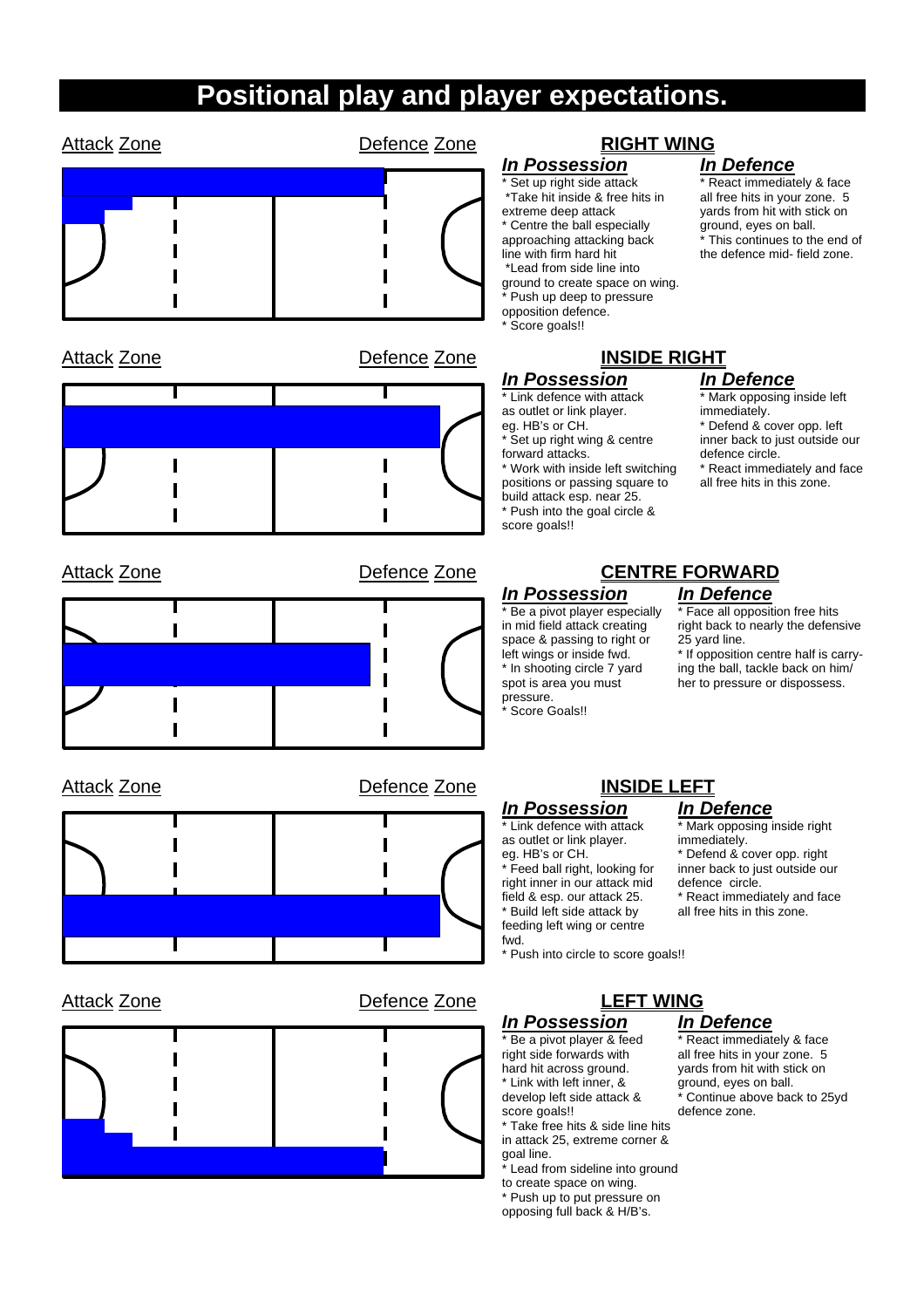## **Positional play and player expectations.**

| <b>Attack Zone</b>                 | Defence Zone | <b>RIGHT WING</b>                                                                                                                                                                                                                                                                                                                       |                                                                                                                                                                                                                             |
|------------------------------------|--------------|-----------------------------------------------------------------------------------------------------------------------------------------------------------------------------------------------------------------------------------------------------------------------------------------------------------------------------------------|-----------------------------------------------------------------------------------------------------------------------------------------------------------------------------------------------------------------------------|
|                                    |              | <b>In Possession</b><br>Set up right side attack<br>*Take hit inside & free hits in<br>extreme deep attack<br>* Centre the ball especially<br>approaching attacking back<br>line with firm hard hit<br>*Lead from side line into<br>ground to create space on wing.<br>Push up deep to pressure<br>opposition defence.<br>Score goals!! | <b>In Defence</b><br>* React immediately & face<br>all free hits in your zone. 5<br>yards from hit with stick on<br>ground, eyes on ball.<br>* This continues to the end of<br>the defence mid- field zone.                 |
| <b>Attack Zone</b>                 | Defence Zone | <b>INSIDE RIGHT</b>                                                                                                                                                                                                                                                                                                                     |                                                                                                                                                                                                                             |
|                                    |              | <b>In Possession</b><br>* Link defence with attack<br>as outlet or link player.<br>eg. HB's or CH.<br>* Set up right wing & centre<br>forward attacks.<br>* Work with inside left switching<br>positions or passing square to<br>build attack esp. near 25.<br>* Push into the goal circle &<br>score goals!!                           | <b>In Defence</b><br>* Mark opposing inside left<br>immediately.<br>* Defend & cover opp. left<br>inner back to just outside our<br>defence circle.<br>* React immediately and face<br>all free hits in this zone.          |
| Defence Zone<br><b>Attack Zone</b> |              | <b>CENTRE FORWARD</b>                                                                                                                                                                                                                                                                                                                   |                                                                                                                                                                                                                             |
|                                    |              | <b>In Possession</b><br>* Be a pivot player especially<br>in mid field attack creating<br>space & passing to right or<br>left wings or inside fwd.<br>* In shooting circle 7 yard<br>spot is area you must<br>pressure.<br>Score Goals!!                                                                                                | <b>In Defence</b><br>* Face all opposition free hits<br>right back to nearly the defensive<br>25 yard line.<br>* If opposition centre half is carry-<br>ing the ball, tackle back on him/<br>her to pressure or dispossess. |
| Defence Zone<br><b>Attack Zone</b> |              | <b>INSIDE LEFT</b>                                                                                                                                                                                                                                                                                                                      |                                                                                                                                                                                                                             |
|                                    |              | <b>In Possession</b><br>* Link defence with attack<br>as outlet or link player.<br>eg. HB's or CH.<br>* Feed hall right, looking for                                                                                                                                                                                                    | <b>In Defence</b><br>* Mark opposing inside right<br>immediately.<br>* Defend & cover opp. right<br>inner hack to just outside our                                                                                          |

T

 $\overline{\text{using}}$  inside right cover opp. right all right, looking for inner back to just outside our right inner in our attack mid defence circle. field & esp. our attack 25. \* React immediately and face<br>\* Build left side attack by all free hits in this zone.

 $*$  Build left side attack by feeding left wing or centre fwd. \* Push into circle to score goals!!

*In Possession In Defence*  $*$  Link with left inner, & develop left side attack &

\* Take free hits & side line hits

in attack 25, extreme corner & goal line.

\* Lead from sideline into ground to create space on wing.

\* Push up to put pressure on opposing full back & H/B's.

\* React immediately & face right side forwards with all free hits in your zone. 5<br>hard hit across ground. yards from hit with stick on yards from hit with stick on<br>ground, eyes on ball. develop left side attack & \* Continue above back to 25yd score goals!!<br>defence zone. defence zone.



T